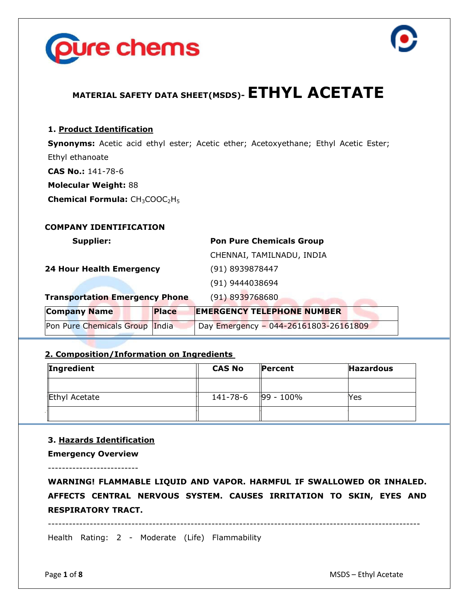



# **MATERIAL SAFETY DATA SHEET(MSDS)- ETHYL ACETATE**

# **1. Product Identification**

**Synonyms:** Acetic acid ethyl ester; Acetic ether; Acetoxyethane; Ethyl Acetic Ester; Ethyl ethanoate

**CAS No.:** 141-78-6

**Molecular Weight:** 88

**Chemical Formula: CH<sub>3</sub>COOC<sub>2</sub>H<sub>5</sub>** 

**COMPANY IDENTIFICATION**

| <b>Supplier:</b>                      |              | <b>Pon Pure Chemicals Group</b>       |
|---------------------------------------|--------------|---------------------------------------|
|                                       |              | CHENNAI, TAMILNADU, INDIA             |
| <b>24 Hour Health Emergency</b>       |              | (91) 8939878447                       |
|                                       |              | (91) 9444038694                       |
| <b>Transportation Emergency Phone</b> |              | (91) 8939768680                       |
| <b>Company Name</b>                   | <b>Place</b> | <b>EMERGENCY TELEPHONE NUMBER</b>     |
| Pon Pure Chemicals Group              | India        | Day Emergency - 044-26161803-26161809 |

# **2. Composition/Information on Ingredients**

| <b>Ingredient</b> | <b>CAS No</b>            | Percent | <b>Hazardous</b> |
|-------------------|--------------------------|---------|------------------|
|                   |                          |         |                  |
| Ethyl Acetate     | $141 - 78 - 6$ 99 - 100% |         | Yes              |
|                   |                          |         |                  |

# **3. Hazards Identification**

#### **Emergency Overview**

--------------------------

**WARNING! FLAMMABLE LIQUID AND VAPOR. HARMFUL IF SWALLOWED OR INHALED. AFFECTS CENTRAL NERVOUS SYSTEM. CAUSES IRRITATION TO SKIN, EYES AND RESPIRATORY TRACT.**

-----------------------------------------------------------------------------------------------------------

Health Rating: 2 - Moderate (Life) Flammability

Page **1** of **8** MSDS – Ethyl Acetate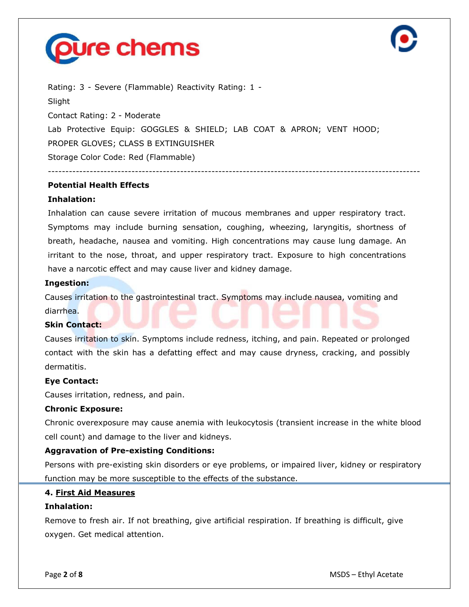



Rating: 3 - Severe (Flammable) Reactivity Rating: 1 - Slight Contact Rating: 2 - Moderate Lab Protective Equip: GOGGLES & SHIELD; LAB COAT & APRON; VENT HOOD; PROPER GLOVES; CLASS B EXTINGUISHER Storage Color Code: Red (Flammable)

# **Potential Health Effects**

# **Inhalation:**

Inhalation can cause severe irritation of mucous membranes and upper respiratory tract. Symptoms may include burning sensation, coughing, wheezing, laryngitis, shortness of breath, headache, nausea and vomiting. High concentrations may cause lung damage. An irritant to the nose, throat, and upper respiratory tract. Exposure to high concentrations have a narcotic effect and may cause liver and kidney damage.

-----------------------------------------------------------------------------------------------------------

# **Ingestion:**

Causes irritation to the gastrointestinal tract. Symptoms may include nausea, vomiting and diarrhea.

#### **Skin Contact:**

Causes irritation to skin. Symptoms include redness, itching, and pain. Repeated or prolonged contact with the skin has a defatting effect and may cause dryness, cracking, and possibly dermatitis.

#### **Eye Contact:**

Causes irritation, redness, and pain.

#### **Chronic Exposure:**

Chronic overexposure may cause anemia with leukocytosis (transient increase in the white blood cell count) and damage to the liver and kidneys.

# **Aggravation of Pre-existing Conditions:**

Persons with pre-existing skin disorders or eye problems, or impaired liver, kidney or respiratory function may be more susceptible to the effects of the substance.

# **4. First Aid Measures**

#### **Inhalation:**

Remove to fresh air. If not breathing, give artificial respiration. If breathing is difficult, give oxygen. Get medical attention.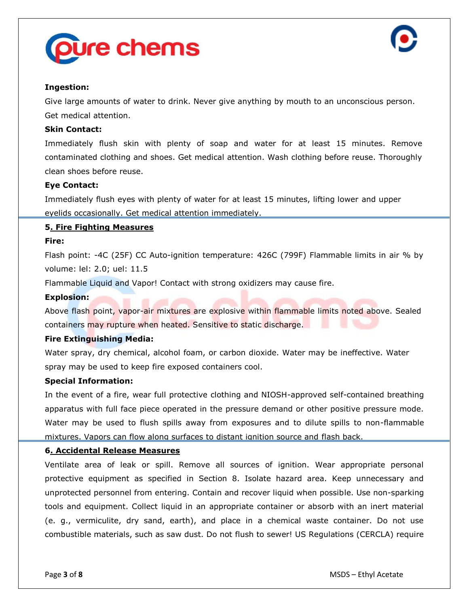



#### **Ingestion:**

Give large amounts of water to drink. Never give anything by mouth to an unconscious person. Get medical attention.

# **Skin Contact:**

Immediately flush skin with plenty of soap and water for at least 15 minutes. Remove contaminated clothing and shoes. Get medical attention. Wash clothing before reuse. Thoroughly clean shoes before reuse.

# **Eye Contact:**

Immediately flush eyes with plenty of water for at least 15 minutes, lifting lower and upper eyelids occasionally. Get medical attention immediately.

# **5. Fire Fighting Measures**

#### **Fire:**

Flash point: -4C (25F) CC Auto-ignition temperature: 426C (799F) Flammable limits in air % by volume: lel: 2.0; uel: 11.5

Flammable Liquid and Vapor! Contact with strong oxidizers may cause fire.

#### **Explosion:**

Above flash point, vapor-air mixtures are explosive within flammable limits noted above. Sealed containers may rupture when heated. Sensitive to static discharge.

#### **Fire Extinguishing Media:**

Water spray, dry chemical, alcohol foam, or carbon dioxide. Water may be ineffective. Water spray may be used to keep fire exposed containers cool.

#### **Special Information:**

In the event of a fire, wear full protective clothing and NIOSH-approved self-contained breathing apparatus with full face piece operated in the pressure demand or other positive pressure mode. Water may be used to flush spills away from exposures and to dilute spills to non-flammable mixtures. Vapors can flow along surfaces to distant ignition source and flash back.

# **6. Accidental Release Measures**

Ventilate area of leak or spill. Remove all sources of ignition. Wear appropriate personal protective equipment as specified in Section 8. Isolate hazard area. Keep unnecessary and unprotected personnel from entering. Contain and recover liquid when possible. Use non-sparking tools and equipment. Collect liquid in an appropriate container or absorb with an inert material (e. g., vermiculite, dry sand, earth), and place in a chemical waste container. Do not use combustible materials, such as saw dust. Do not flush to sewer! US Regulations (CERCLA) require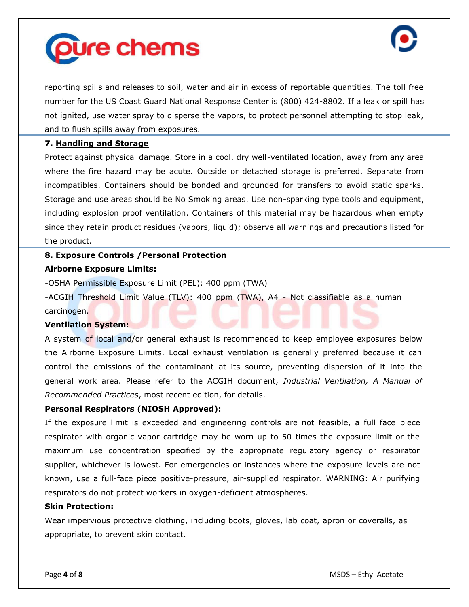



reporting spills and releases to soil, water and air in excess of reportable quantities. The toll free number for the US Coast Guard National Response Center is (800) 424-8802. If a leak or spill has not ignited, use water spray to disperse the vapors, to protect personnel attempting to stop leak, and to flush spills away from exposures.

#### **7. Handling and Storage**

Protect against physical damage. Store in a cool, dry well-ventilated location, away from any area where the fire hazard may be acute. Outside or detached storage is preferred. Separate from incompatibles. Containers should be bonded and grounded for transfers to avoid static sparks. Storage and use areas should be No Smoking areas. Use non-sparking type tools and equipment, including explosion proof ventilation. Containers of this material may be hazardous when empty since they retain product residues (vapors, liquid); observe all warnings and precautions listed for the product.

#### **8. Exposure Controls /Personal Protection**

#### **Airborne Exposure Limits:**

-OSHA Permissible Exposure Limit (PEL): 400 ppm (TWA)

-ACGIH Threshold Limit Value (TLV): 400 ppm (TWA), A4 - Not classifiable as a human carcinogen.

#### **Ventilation System:**

A system of local and/or general exhaust is recommended to keep employee exposures below the Airborne Exposure Limits. Local exhaust ventilation is generally preferred because it can control the emissions of the contaminant at its source, preventing dispersion of it into the general work area. Please refer to the ACGIH document, *Industrial Ventilation, A Manual of Recommended Practices*, most recent edition, for details.

#### **Personal Respirators (NIOSH Approved):**

If the exposure limit is exceeded and engineering controls are not feasible, a full face piece respirator with organic vapor cartridge may be worn up to 50 times the exposure limit or the maximum use concentration specified by the appropriate regulatory agency or respirator supplier, whichever is lowest. For emergencies or instances where the exposure levels are not known, use a full-face piece positive-pressure, air-supplied respirator. WARNING: Air purifying respirators do not protect workers in oxygen-deficient atmospheres.

# **Skin Protection:**

Wear impervious protective clothing, including boots, gloves, lab coat, apron or coveralls, as appropriate, to prevent skin contact.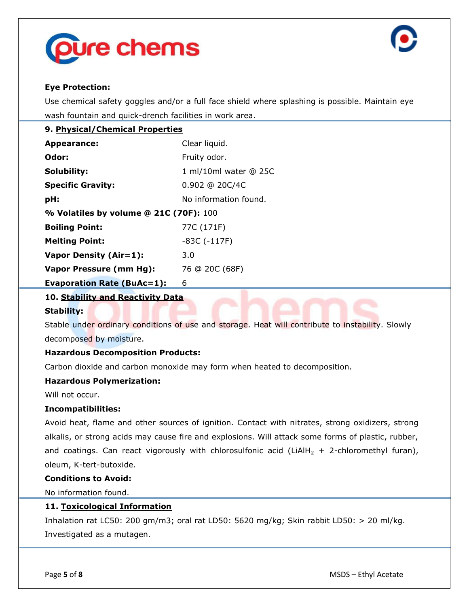



# **Eye Protection:**

Use chemical safety goggles and/or a full face shield where splashing is possible. Maintain eye wash fountain and quick-drench facilities in work area.

| 9. Physical/Chemical Properties        |                       |  |  |  |
|----------------------------------------|-----------------------|--|--|--|
| Appearance:                            | Clear liquid.         |  |  |  |
| Odor:                                  | Fruity odor.          |  |  |  |
| Solubility:                            | 1 ml/10ml water @ 25C |  |  |  |
| <b>Specific Gravity:</b>               | 0.902 @ 20C/4C        |  |  |  |
| pH:                                    | No information found. |  |  |  |
| % Volatiles by volume @ 21C (70F): 100 |                       |  |  |  |
| <b>Boiling Point:</b>                  | 77C (171F)            |  |  |  |
| <b>Melting Point:</b>                  | $-83C$ ( $-117F$ )    |  |  |  |
| Vapor Density (Air=1):                 | 3.0                   |  |  |  |
| Vapor Pressure (mm Hg):                | 76 @ 20C (68F)        |  |  |  |
| <b>Evaporation Rate (BuAc=1):</b>      | 6                     |  |  |  |
| 10. Stability and Reactivity Data      |                       |  |  |  |

# **Stability:**

Stable under ordinary conditions of use and storage. Heat will contribute to instability. Slowly decomposed by moisture.

# **Hazardous Decomposition Products:**

Carbon dioxide and carbon monoxide may form when heated to decomposition.

# **Hazardous Polymerization:**

Will not occur.

# **Incompatibilities:**

Avoid heat, flame and other sources of ignition. Contact with nitrates, strong oxidizers, strong alkalis, or strong acids may cause fire and explosions. Will attack some forms of plastic, rubber, and coatings. Can react vigorously with chlorosulfonic acid (LiAlH<sub>2</sub> + 2-chloromethyl furan), oleum, K-tert-butoxide.

#### **Conditions to Avoid:**

No information found.

# **11. Toxicological Information**

Inhalation rat LC50: 200 gm/m3; oral rat LD50: 5620 mg/kg; Skin rabbit LD50: > 20 ml/kg. Investigated as a mutagen.

Page **5** of **8** MSDS – Ethyl Acetate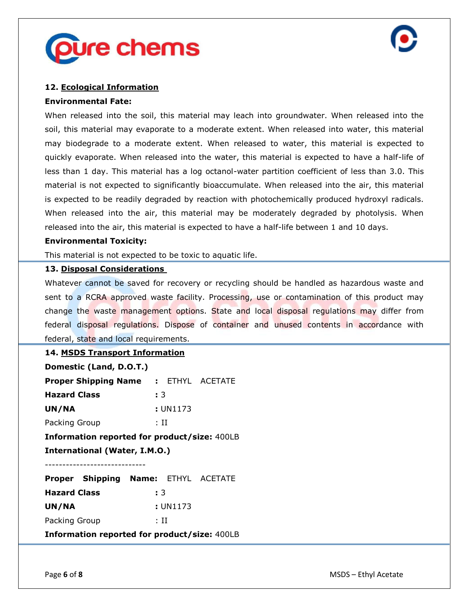



# **12. Ecological Information**

# **Environmental Fate:**

When released into the soil, this material may leach into groundwater. When released into the soil, this material may evaporate to a moderate extent. When released into water, this material may biodegrade to a moderate extent. When released to water, this material is expected to quickly evaporate. When released into the water, this material is expected to have a half-life of less than 1 day. This material has a log octanol-water partition coefficient of less than 3.0. This material is not expected to significantly bioaccumulate. When released into the air, this material is expected to be readily degraded by reaction with photochemically produced hydroxyl radicals. When released into the air, this material may be moderately degraded by photolysis. When released into the air, this material is expected to have a half-life between 1 and 10 days.

#### **Environmental Toxicity:**

This material is not expected to be toxic to aquatic life.

# **13. Disposal Considerations**

Whatever cannot be saved for recovery or recycling should be handled as hazardous waste and sent to a RCRA approved waste facility. Processing, use or contamination of this product may change the waste management options. State and local disposal regulations may differ from federal disposal regulations. Dispose of container and unused contents in accordance with federal, state and local requirements.

| <b>14. MSDS Transport Information</b>        |                                             |  |  |  |
|----------------------------------------------|---------------------------------------------|--|--|--|
| Domestic (Land, D.O.T.)                      |                                             |  |  |  |
|                                              | <b>Proper Shipping Name : ETHYL ACETATE</b> |  |  |  |
| <b>Hazard Class</b>                          | : 3                                         |  |  |  |
| UN/NA                                        | : UN1173                                    |  |  |  |
| Packing Group                                | : II                                        |  |  |  |
| Information reported for product/size: 400LB |                                             |  |  |  |
| International (Water, I.M.O.)                |                                             |  |  |  |
|                                              |                                             |  |  |  |
|                                              | Proper Shipping Name: ETHYL ACETATE         |  |  |  |
| <b>Hazard Class</b><br>: 3                   |                                             |  |  |  |
| UN/NA                                        | : UN1173                                    |  |  |  |
| Packing Group                                | : II                                        |  |  |  |
| Information reported for product/size: 400LB |                                             |  |  |  |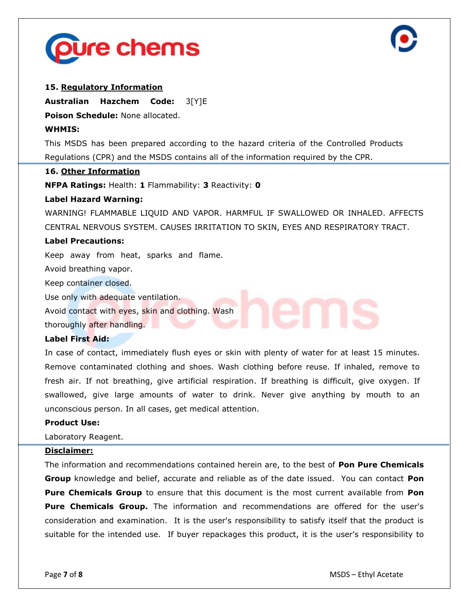



#### **15. Regulatory Information**

**Australian Hazchem Code:** 3[Y]E

**Poison Schedule:** None allocated.

#### **WHMIS:**

This MSDS has been prepared according to the hazard criteria of the Controlled Products Regulations (CPR) and the MSDS contains all of the information required by the CPR.

#### **16. Other Information**

**NFPA Ratings:** Health: **1** Flammability: **3** Reactivity: **0**

#### **Label Hazard Warning:**

WARNING! FLAMMABLE LIQUID AND VAPOR. HARMFUL IF SWALLOWED OR INHALED. AFFECTS CENTRAL NERVOUS SYSTEM. CAUSES IRRITATION TO SKIN, EYES AND RESPIRATORY TRACT.

#### **Label Precautions:**

Keep away from heat, sparks and flame.

Avoid breathing vapor.

Keep container closed.

Use only with adequate ventilation.

Avoid contact with eyes, skin and clothing. Wash

thoroughly after handling.

#### **Label First Aid:**

In case of contact, immediately flush eyes or skin with plenty of water for at least 15 minutes. Remove contaminated clothing and shoes. Wash clothing before reuse. If inhaled, remove to fresh air. If not breathing, give artificial respiration. If breathing is difficult, give oxygen. If swallowed, give large amounts of water to drink. Never give anything by mouth to an unconscious person. In all cases, get medical attention.

#### **Product Use:**

Laboratory Reagent.

#### **Disclaimer:**

The information and recommendations contained herein are, to the best of **Pon Pure Chemicals Group** knowledge and belief, accurate and reliable as of the date issued. You can contact **Pon Pure Chemicals Group** to ensure that this document is the most current available from **Pon Pure Chemicals Group.** The information and recommendations are offered for the user's consideration and examination. It is the user's responsibility to satisfy itself that the product is suitable for the intended use. If buyer repackages this product, it is the user's responsibility to